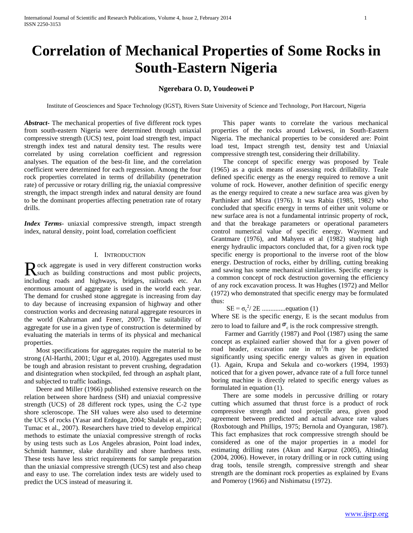# **Correlation of Mechanical Properties of Some Rocks in South-Eastern Nigeria**

# **Ngerebara O. D, Youdeowei P**

Institute of Geosciences and Space Technology (IGST), Rivers State University of Science and Technology, Port Harcourt, Nigeria

*Abstract***-** The mechanical properties of five different rock types from south-eastern Nigeria were determined through uniaxial compressive strength (UCS) test, point load strength test, impact strength index test and natural density test. The results were correlated by using correlation coefficient and regression analyses. The equation of the best-fit line, and the correlation coefficient were determined for each regression. Among the four rock properties correlated in terms of drillability (penetration rate) of percussive or rotary drilling rig, the uniaxial compressive strength, the impact strength index and natural density are found to be the dominant properties affecting penetration rate of rotary drills.

*Index Terms*- uniaxial compressive strength, impact strength index, natural density, point load, correlation coefficient

# I. INTRODUCTION

ock aggregate is used in very different construction works Rock aggregate is used in very different construction works<br>such as building constructions and most public projects, including roads and highways, bridges, railroads etc. An enormous amount of aggregate is used in the world each year. The demand for crushed stone aggregate is increasing from day to day because of increasing expansion of highway and other construction works and decreasing natural aggregate resources in the world (Kahraman and Fener, 2007). The suitability of aggregate for use in a given type of construction is determined by evaluating the materials in terms of its physical and mechanical properties.

 Most specifications for aggregates require the material to be strong (Al-Harthi, 2001; Ugur et al, 2010). Aggregates used must be tough and abrasion resistant to prevent crushing, degradation and disintegration when stockpiled, fed through an asphalt plant, and subjected to traffic loadings.

 Deere and Miller (1966) published extensive research on the relation between shore hardness (SH) and uniaxial compressive strength (UCS) of 28 different rock types, using the C-2 type shore scleroscope. The SH values were also used to determine the UCS of rocks (Yasar and Erdogan, 2004; Shalabi et al., 2007; Tumac et al., 2007). Researchers have tried to develop empirical methods to estimate the uniaxial compressive strength of rocks by using tests such as Los Angeles abrasion, Point load index, Schmidt hammer, slake durability and shore hardness tests. These tests have less strict requirements for sample preparation than the uniaxial compressive strength (UCS) test and also cheap and easy to use. The correlation index tests are widely used to predict the UCS instead of measuring it.

 This paper wants to correlate the various mechanical properties of the rocks around Lekwesi, in South-Eastern Nigeria. The mechanical properties to be considered are: Point load test, Impact strength test, density test and Uniaxial compressive strength test, considering their drillability.

 The concept of specific energy was proposed by Teale (1965) as a quick means of assessing rock drillability. Teale defined specific energy as the energy required to remove a unit volume of rock. However, another definition of specific energy as the energy required to create a new surface area was given by Parthinker and Misra (1976). It was Rabia (1985, 1982) who concluded that specific energy in terms of either unit volume or new surface area is not a fundamental intrinsic property of rock, and that the breakage parameters or operational parameters control numerical value of specific energy. Wayment and Grantmare (1976), and Mahyera et al (1982) studying high energy hydraulic impactors concluded that, for a given rock type specific energy is proportional to the inverse root of the blow energy. Destruction of rocks, either by drilling, cutting breaking and sawing has some mechanical similarities. Specific energy is a common concept of rock destruction governing the efficiency of any rock excavation process. It was Hughes (1972) and Mellor (1972) who demonstrated that specific energy may be formulated thus:

SE = σ<sup>c</sup> 2 / 2E ..............equation (1)

Where SE is the specific energy, E is the secant modulus from zero to load to failure and  $\sigma_c$  is the rock compressive strength.

 Farmer and Garritly (1987) and Pool (1987) using the same concept as explained earlier showed that for a given power of road header, excavation rate in  $m^3/h$  may be predicted significantly using specific energy values as given in equation (1). Again, Krupa and Sekula and co-workers (1994, 1993) noticed that for a given power, advance rate of a full force tunnel boring machine is directly related to specific energy values as formulated in equation (1).

 There are some models in percussive drilling or rotary cutting which assumed that thrust force is a product of rock compressive strength and tool projectile area, given good agreement between predicted and actual advance rate values (Roxbotough and Phillips, 1975; Bernola and Oyanguran, 1987). This fact emphasizes that rock compressive strength should be considered as one of the major properties in a model for estimating drilling rates (Akun and Karpuz (2005), Altindag (2004, 2006). However, in rotary drilling or in rock cutting using drag tools, tensile strength, compressive strength and shear strength are the dominant rock properties as explained by Evans and Pomeroy (1966) and Nishimatsu (1972).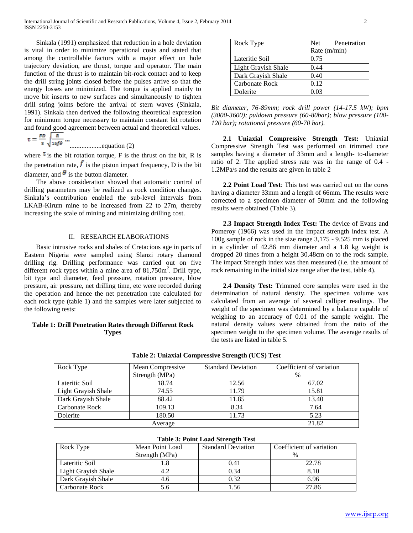Sinkala (1991) emphasized that reduction in a hole deviation is vital in order to minimize operational costs and stated that among the controllable factors with a major effect on hole trajectory deviation, are thrust, torque and operator. The main function of the thrust is to maintain bit-rock contact and to keep the drill string joints closed before the pulses arrive so that the energy losses are minimized. The torque is applied mainly to move bit inserts to new surfaces and simultaneously to tighten drill string joints before the arrival of stern waves (Sinkala, 1991). Sinkala then derived the following theoretical expression for minimum torque necessary to maintain constant bit rotation and found good agreement between actual and theoretical values.  $FD$   $R$ 

$$
t = \frac{1}{3} \sqrt{\frac{15f\theta}{15f\theta}}
$$
................. equation (2)

where  $\tau$  is the bit rotation torque, F is the thrust on the bit, R is the penetration rate,  $\vec{f}$  is the piston impact frequency, D is the bit diameter, and  $\theta$  is the button diameter.

 The above consideration showed that automatic control of drilling parameters may be realized as rock condition changes. Sinkala's contribution enabled the sub-level intervals from LKAB-Kirum mine to be increased from 22 to 27m, thereby increasing the scale of mining and minimizing drilling cost.

# II. RESEARCH ELABORATIONS

 Basic intrusive rocks and shales of Cretacious age in parts of Eastern Nigeria were sampled using Slanzi rotary diamond drilling rig. Drilling performance was carried out on five different rock types within a mine area of  $81,750$ m<sup>2</sup>. Drill type, bit type and diameter, feed pressure, rotation pressure, blow pressure, air pressure, net drilling time, etc were recorded during the operation and hence the net penetration rate calculated for each rock type (table 1) and the samples were later subjected to the following tests:

# **Table 1: Drill Penetration Rates through Different Rock Types**

| Rock Type           | Net<br>Penetration |  |
|---------------------|--------------------|--|
|                     | Rate (m/min)       |  |
| Lateritic Soil      | 0.75               |  |
| Light Grayish Shale | 0.44               |  |
| Dark Grayish Shale  | 0.40               |  |
| Carbonate Rock      | 0.12               |  |
| Dolerite            | 0.03               |  |

*Bit diameter, 76-89mm; rock drill power (14-17.5 kW); bpm (3000-3600); puldown pressure (60-80bar); blow pressure (100- 120 bar); rotational pressure (60-70 bar).*

 **2.1 Uniaxial Compressive Strength Test:** Uniaxial Compressive Strength Test was performed on trimmed core samples having a diameter of 33mm and a length- to-diameter ratio of 2. The applied stress rate was in the range of 0.4 - 1.2MPa/s and the results are given in table 2

 **2.2 Point Load Test**: This test was carried out on the cores having a diameter 33mm and a length of 66mm. The results were corrected to a specimen diameter of 50mm and the following results were obtained (Table 3).

 **2.3 Impact Strength Index Test:** The device of Evans and Pomeroy (1966) was used in the impact strength index test. A 100g sample of rock in the size range 3,175 - 9.525 mm is placed in a cylinder of 42.86 mm diameter and a 1.8 kg weight is dropped 20 times from a height 30.48cm on to the rock sample. The impact Strength index was then measured (i.e. the amount of rock remaining in the initial size range after the test, table 4).

 **2.4 Density Test:** Trimmed core samples were used in the determination of natural density. The specimen volume was calculated from an average of several calliper readings. The weight of the specimen was determined by a balance capable of weighing to an accuracy of 0.01 of the sample weight. The natural density values were obtained from the ratio of the specimen weight to the specimen volume. The average results of the tests are listed in table 5.

| Rock Type           | Mean Compressive | <b>Standard Deviation</b> | Coefficient of variation |
|---------------------|------------------|---------------------------|--------------------------|
|                     | Strength (MPa)   |                           | $\frac{0}{0}$            |
| Lateritic Soil      | 18.74            | 12.56                     | 67.02                    |
| Light Grayish Shale | 74.55            | 11.79                     | 15.81                    |
| Dark Grayish Shale  | 88.42            | 11.85                     | 13.40                    |
| Carbonate Rock      | 109.13           | 8.34                      | 7.64                     |
| Dolerite            | 180.50           | 11.73                     | 5.23                     |
|                     | Average          |                           | 21.82                    |

**Table 2: Uniaxial Compressive Strength (UCS) Test**

# **Table 3: Point Load Strength Test**

| Rock Type           | Mean Point Load | <b>Standard Deviation</b> | Coefficient of variation |
|---------------------|-----------------|---------------------------|--------------------------|
|                     | Strength (MPa)  |                           | $\%$                     |
| Lateritic Soil      |                 | 0.41                      | 22.78                    |
| Light Grayish Shale |                 | 0.34                      | 8.10                     |
| Dark Grayish Shale  | 4.6             | 0.32                      | 6.96                     |
| Carbonate Rock      |                 | 1.56                      | 27.86                    |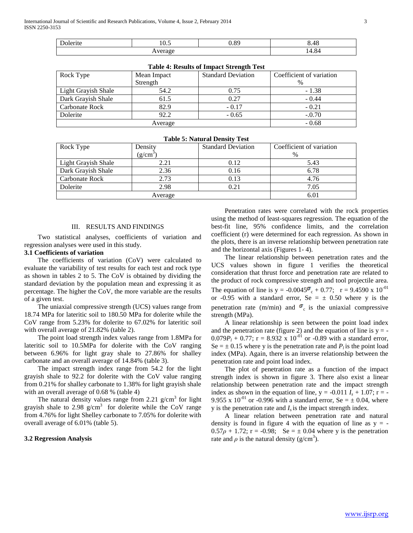| Ð<br>.<br>lefile | $\sim$<br>- 0.5 | $^{\circ}$ | AC<br>0.40 |
|------------------|-----------------|------------|------------|
| -----<br><br>.   |                 |            | 14.84      |

| Table 4: Results of Hilpact Streligul Test |             |                           |                          |
|--------------------------------------------|-------------|---------------------------|--------------------------|
| Rock Type                                  | Mean Impact | <b>Standard Deviation</b> | Coefficient of variation |
|                                            | Strength    |                           | $\%$                     |
| Light Grayish Shale                        | 54.2        | 0.75                      | $-1.38$                  |
| Dark Grayish Shale                         | 61.5        | 0.27                      | $-0.44$                  |
| Carbonate Rock                             | 82.9        | $-0.17$                   | $-0.21$                  |
| Dolerite                                   | 92.2        | $-0.65$                   | $-.0.70$                 |
| Average                                    |             |                           | $-0.68$                  |

| <b>Table 4: Results of Impact Strength Test</b> |
|-------------------------------------------------|
|-------------------------------------------------|

| <b>Table 5: Natural Density Test</b> |              |                           |                          |
|--------------------------------------|--------------|---------------------------|--------------------------|
| Rock Type                            | Densitv      | <b>Standard Deviation</b> | Coefficient of variation |
|                                      | $(g/cm^{3})$ |                           | %                        |
| Light Grayish Shale                  | 2.21         | 0.12                      | 5.43                     |
| Dark Grayish Shale                   | 2.36         | 0.16                      | 6.78                     |
| Carbonate Rock                       | 2.73         | 0.13                      | 4.76                     |
| Dolerite                             | 2.98         | 0.21                      | 7.05                     |
| Average                              |              |                           | 6.01                     |

# III. RESULTS AND FINDINGS

 Two statistical analyses, coefficients of variation and regression analyses were used in this study.

### **3.1 Coefficients of variation**

 The coefficients of variation (CoV) were calculated to evaluate the variability of test results for each test and rock type as shown in tables 2 to 5. The CoV is obtained by dividing the standard deviation by the population mean and expressing it as percentage. The higher the CoV, the more variable are the results of a given test.

 The uniaxial compressive strength (UCS) values range from 18.74 MPa for lateritic soil to 180.50 MPa for dolerite while the CoV range from 5.23% for dolerite to 67.02% for lateritic soil with overall average of 21.82% (table 2).

 The point load strength index values range from 1.8MPa for lateritic soil to 10.5MPa for dolerite with the CoV ranging between 6.96% for light gray shale to 27.86% for shalley carbonate and an overall average of 14.84% (table 3).

 The impact strength index range from 54.2 for the light grayish shale to 92.2 for dolerite with the CoV value ranging from 0.21% for shalley carbonate to 1.38% for light grayish shale with an overall average of 0.68 % (table 4)

The natural density values range from 2.21  $g/cm<sup>3</sup>$  for light grayish shale to 2.98 g/cm<sup>3</sup> for dolerite while the CoV range from 4.76% for light Shelley carbonate to 7.05% for dolerite with overall average of 6.01% (table 5).

#### **3.2 Regression Analysis**

 Penetration rates were correlated with the rock properties using the method of least-squares regression. The equation of the best-fit line, 95% confidence limits, and the correlation coefficient (r) were determined for each regression. As shown in the plots, there is an inverse relationship between penetration rate and the horizontal axis (Figures 1- 4).

 The linear relationship between penetration rates and the UCS values shown in figure 1 verifies the theoretical consideration that thrust force and penetration rate are related to the product of rock compressive strength and tool projectile area. The equation of line is  $y = -0.0045\sigma_c + 0.77$ ;  $r = 9.4590 \times 10^{-01}$ or -0.95 with a standard error, Se =  $\pm$  0.50 where y is the penetration rate (m/min) and  $\sigma_c$  is the uniaxial compressive strength (MPa).

 A linear relationship is seen between the point load index and the penetration rate (figure 2) and the equation of line is  $y = 0.079P_1 + 0.77$ ; r = 8.932 x 10<sup>-01</sup> or -0.89 with a standard error, Se  $= \pm 0.15$  where y is the penetration rate and  $P_i$  is the point load index (MPa). Again, there is an inverse relationship between the penetration rate and point load index.

 The plot of penetration rate as a function of the impact strength index is shown in figure 3. There also exist a linear relationship between penetration rate and the impact strength index as shown in the equation of line,  $y = -0.011 I_s + 1.07$ ;  $r = -1.07$ 9.955 x  $10^{-01}$  or -0.996 with a standard error, Se =  $\pm$  0.04, where y is the penetration rate and  $I<sub>s</sub>$  is the impact strength index.

 A linear relation between penetration rate and natural density is found in figure 4 with the equation of line as  $y = 0.57\rho + 1.72$ ; r = -0.98; Se =  $\pm$  0.04 where y is the penetration rate and  $\rho$  is the natural density ( $g/cm<sup>3</sup>$ ).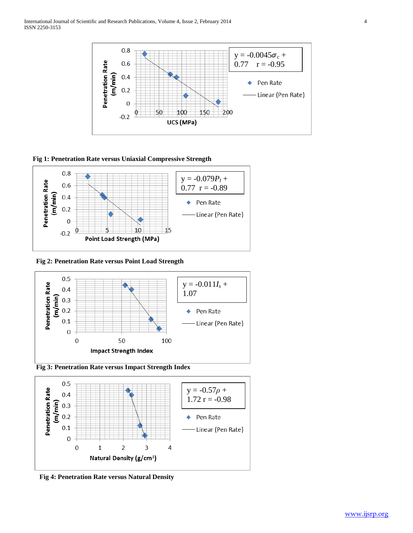

**Fig 1: Penetration Rate versus Uniaxial Compressive Strength** 



 **Fig 2: Penetration Rate versus Point Load Strength** 







 **Fig 4: Penetration Rate versus Natural Density**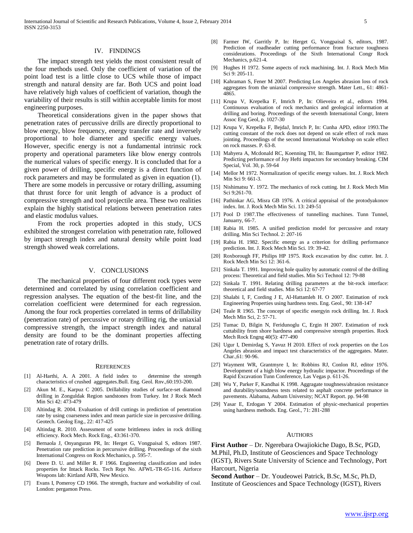#### IV. FINDINGS

 The impact strength test yields the most consistent result of the four methods used. Only the coefficient of variation of the point load test is a little close to UCS while those of impact strength and natural density are far. Both UCS and point load have relatively high values of coefficient of variation, though the variability of their results is still within acceptable limits for most engineering purposes.

 Theoretical considerations given in the paper shows that penetration rates of percussive drills are directly proportional to blow energy, blow frequency, energy transfer rate and inversely proportional to hole diameter and specific energy values. However, specific energy is not a fundamental intrinsic rock property and operational parameters like blow energy controls the numerical values of specific energy. It is concluded that for a given power of drilling, specific energy is a direct function of rock parameters and may be formulated as given in equation (1). There are some models in percussive or rotary drilling, assuming that thrust force for unit length of advance is a product of compressive strength and tool projectile area. These two realities explain the highly statistical relations between penetration rates and elastic modulus values.

 From the rock properties adopted in this study, UCS exhibited the strongest correlation with penetration rate, followed by impact strength index and natural density while point load strength showed weak correlations.

#### V. CONCLUSIONS

 The mechanical properties of four different rock types were determined and correlated by using correlation coefficient and regression analyses. The equation of the best-fit line, and the correlation coefficient were determined for each regression. Among the four rock properties correlated in terms of drillability (penetration rate) of percussive or rotary drilling rig, the uniaxial compressive strength, the impact strength index and natural density are found to be the dominant properties affecting penetration rate of rotary drills.

#### **REFERENCES**

- [1] Al-Harthi, A. A 2001. A field index to determine the strength characteristics of crushed aggregates.Bull. Eng. Geol. Rnv.,60:193-200.
- Akun M. E., Karpuz C 2005. Drillability studies of surface-set diamond drilling in Zonguldak Region sandstones from Turkey. Int J Rock Mech Min Sci 42: 473-479
- [3] Altindag R. 2004. Evaluation of drill cuttings in prediction of penetration rate by using coarseness index and mean particle size in percussive drilling. Geotech. Geolog Eng., 22: 417-425
- [4] Altindag R. 2010. Assessment of some brittleness index in rock drilling efficiency. Rock Mech. Rock Eng., 43:361-370.
- [5] Bernaola J, Onyanguran PR, In: Herget G, Vongpaisal S, editors 1987. Penetration rate prediction in percurssive drilling. Proceedings of the sixth International Congress on Rock Mechanics, p. 595-7.
- [6] Deere D. U. and Miller R. F 1966. Engineering classification and index properties for Intack Rocks. Tech Rept No. AFWL-TR-65-116. Airforce Weapons lab: Kirtland AFB, New Mexico.
- [7] Evans I, Pomeroy CD 1966. The strength, fracture and workability of coal. London: pergamon Press.
- [8] Farmer IW, Garritly P, In: Herget G, Vongpaisal S, editors, 1987. Prediction of roadheader cutting performance from fracture toughness considerations. Proceedings of the Sixth International Congr Rock Mechanics, p.621-4.
- [9] Hughes H 1972. Some aspects of rock machining. Int. J. Rock Mech Min Sci 9: 205-11.
- [10] Kahraman S, Fener M 2007. Predicting Los Angeles abrasion loss of rock aggregates from the uniaxial compressive strength. Mater Lett., 61: 4861- 4865.
- [11] Krupa V, Krepelka F, Imrich P, In: Olieveira et al., editors 1994. Continuous evaluation of rock mechanics and geological information at drilling and boring. Proceedings of the seventh International Congr, Intern Assoc Eng Geol, p. 1027-30
- [12] Krupa V, Krepelka F, BejdaJ, Imrich P, In: Cunha APD, editor 1993.The cutting constant of the rock does not depend on scale effect of rock mass jointing. Proceedings of the second International Workshop on scale effect on rock masses. P. 63-8.
- [13] Mahyera A, Mcdonald RC, Koenning TH, In: Baumgartner P, editor 1982. Predicting performance of Joy Hefti impactors for secondary breaking. CIM Special, Vol. 30, p. 59-64
- [14] Mellor M 1972. Normalization of specific energy values. Int. J. Rock Mech Min Sci 9: 661-3.
- [15] Nishimatsu Y. 1972. The mechanics of rock cutting. Int J. Rock Mech Min Sci 9;261-70.
- [16] Pathinkar AG, Misra GB 1976. A critical appraisal of the protodyakonov index. Int. J. Rock Mech Min Sci. 13: 249-51
- [17] Pool D 1987.The effectiveness of tunnelling machines. Tunn Tunnel, Januarry, 66-7.
- [18] Rabia H. 1985. A unified prediction model for percussive and rotary drilling. Min Sci Technol. 2: 207-16
- [19] Rabia H. 1982. Specific energy as a criterion for drilling performance prediction. Int. J. Rock Mech Min Sci. 19: 39-42.
- [20] Roxborough FF, Philips HP 1975. Rock excavation by disc cutter. Int. J. Rock Mech Min Sci 12: 361-6.
- [21] Sinkala T. 1991. Improving hole quality by automatic control of the drilling process: Theoretical and field studies. Min Sci Technol 12: 79-88
- [22] Sinkala T. 1991. Relating drilling parameters at the bit-rock interface: theoretical and field studies. Min Sci 12: 67-77
- [23] Shalabi I, F, Cording J E, Al-Hattamleh H. O 2007. Estimation of rock Engineering Properties using hardness tests. Eng. Geol., 90: 138-147
- [24] Teale R 1965. The concept of specific energyin rock drilling. Int. J. Rock Mech Min Sci, 2: 57-71.
- [25] Tumac D, Bilgin N, Feridunoglu C, Ergin H 2007. Estimation of rock cuttability from shore hardness and compressive strength properties. Rock Mech Rock Engng 40(5): 477-490
- [26] Ugur I, Demirdag S, Yavuz H 2010. Effect of rock properties on the Los Angeles abrasion and impact test characteristics of the aggregates. Mater. Char.,61: 90-96.
- [27] Wayment WR, Grantmyre I, In: Robbins RJ, Conlon RJ, editor 1976. Development of a high blow energy hydraulic impactor. Proceedings of the Rapid Excavation Tunn Conference, Las Vegas p. 611-26.
- [28] Wu Y, Parker F, Kandhai K 1998. Aggragate toughness/abrasion resistance and durability/soundness tests related to asphalt concrete performance in pavements. Alabama, Aubum University; NCAT Report. pp. 94-98
- [29] Yasar E, Erdogan Y 2004. Estimation of physic-mechanical properties using hardness methods. Eng. Geol., 71: 281-288

#### AUTHORS

**First Author** – Dr. Ngerebara Owajiokiche Dago, B.Sc, PGD, M.Phil, Ph.D, Institute of Geosciences and Space Technology (IGST), Rivers State University of Science and Technology, Port Harcourt, Nigeria

**Second Author** – Dr. Youdeowei Patrick, B.Sc, M.Sc, Ph.D, Institute of Geosciences and Space Technology (IGST), Rivers